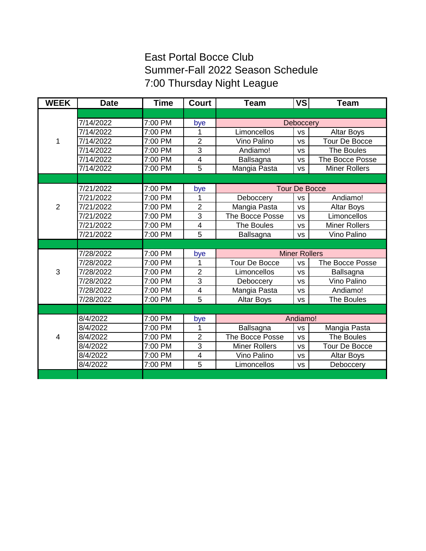## East Portal Bocce Club Summer-Fall 2022 Season Schedule 7:00 Thursday Night League

| <b>WEEK</b>    | <b>Date</b> | <b>Time</b>          | <b>Court</b>            | <b>Team</b>          | <b>VS</b> | <b>Team</b>            |
|----------------|-------------|----------------------|-------------------------|----------------------|-----------|------------------------|
|                |             |                      |                         |                      |           |                        |
| 1              | 7/14/2022   | 7:00 PM              | bye                     | Deboccery            |           |                        |
|                | 7/14/2022   | 7:00 PM              | 1                       | Limoncellos          | <b>VS</b> | <b>Altar Boys</b>      |
|                | 7/14/2022   | 7:00 PM              | $\overline{2}$          | Vino Palino          | <b>VS</b> | <b>Tour De Bocce</b>   |
|                | 7/14/2022   | 7:00 PM              | 3                       | Andiamo!             | <b>VS</b> | The Boules             |
|                | 7/14/2022   | 7:00 PM              | 4                       | Ballsagna            | <b>VS</b> | The Bocce Posse        |
|                | 7/14/2022   | $7:00 P\overline{M}$ | $\overline{5}$          | Mangia Pasta         | <b>VS</b> | <b>Miner Rollers</b>   |
|                |             |                      |                         |                      |           |                        |
|                | 7/21/2022   | 7:00 PM              | bye                     | <b>Tour De Bocce</b> |           |                        |
|                | 7/21/2022   | 7:00 PM              | 1                       | Deboccery            | <b>VS</b> | Andiamo!               |
| $\overline{2}$ | 7/21/2022   | 7:00 PM              | $\overline{2}$          | Mangia Pasta         | <b>VS</b> | <b>Altar Boys</b>      |
|                | 7/21/2022   | 7:00 PM              | 3                       | The Bocce Posse      | <b>VS</b> | Limoncellos            |
|                | 7/21/2022   | 7:00 PM              | 4                       | The Boules           | <b>VS</b> | <b>Miner Rollers</b>   |
|                | 7/21/2022   | 7:00 PM              | 5                       | Ballsagna            | <b>VS</b> | Vino Palino            |
|                |             |                      |                         |                      |           |                        |
| 3              | 7/28/2022   | 7:00 PM              | bye                     | <b>Miner Rollers</b> |           |                        |
|                | 7/28/2022   | 7:00 PM              | 1                       | <b>Tour De Bocce</b> | <b>VS</b> | <b>The Bocce Posse</b> |
|                | 7/28/2022   | 7:00 PM              | $\overline{2}$          | Limoncellos          | <b>VS</b> | Ballsagna              |
|                | 7/28/2022   | 7:00 PM              | 3                       | Deboccery            | <b>VS</b> | Vino Palino            |
|                | 7/28/2022   | 7:00 PM              | $\overline{\mathbf{4}}$ | Mangia Pasta         | <b>VS</b> | Andiamo!               |
|                | 7/28/2022   | 7:00 PM              | 5                       | <b>Altar Boys</b>    | <b>VS</b> | The Boules             |
|                |             |                      |                         |                      |           |                        |
|                | 8/4/2022    | 7:00 PM              | bye                     | Andiamo!             |           |                        |
|                | 8/4/2022    | 7:00 PM              | 1                       | Ballsagna            | <b>VS</b> | Mangia Pasta           |
| $\overline{4}$ | 8/4/2022    | 7:00 PM              | $\overline{2}$          | The Bocce Posse      | <b>VS</b> | The Boules             |
|                | 8/4/2022    | 7:00 PM              | 3                       | <b>Miner Rollers</b> | <b>VS</b> | <b>Tour De Bocce</b>   |
|                | 8/4/2022    | 7:00 PM              | $\overline{\mathbf{4}}$ | Vino Palino          | <b>VS</b> | Altar Boys             |
|                | 8/4/2022    | 7:00 PM              | 5                       | Limoncellos          | <b>VS</b> | Deboccery              |
|                |             |                      |                         |                      |           |                        |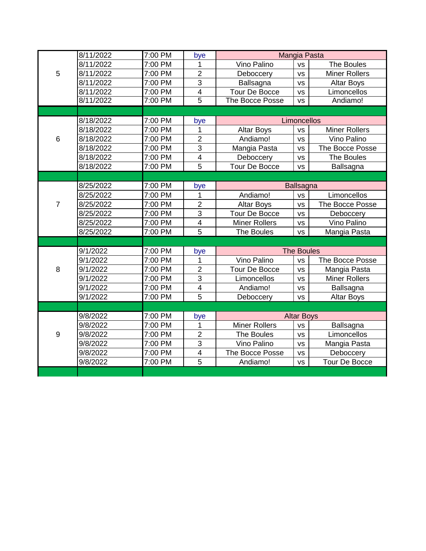|                | 8/11/2022 | 7:00 PM | bye                     | Mangia Pasta         |           |                      |
|----------------|-----------|---------|-------------------------|----------------------|-----------|----------------------|
| 5              | 8/11/2022 | 7:00 PM | 1                       | Vino Palino          | <b>VS</b> | The Boules           |
|                | 8/11/2022 | 7:00 PM | $\overline{2}$          | Deboccery            | <b>VS</b> | <b>Miner Rollers</b> |
|                | 8/11/2022 | 7:00 PM | $\overline{3}$          | Ballsagna            | <b>VS</b> | <b>Altar Boys</b>    |
|                | 8/11/2022 | 7:00 PM | 4                       | <b>Tour De Bocce</b> | <b>VS</b> | Limoncellos          |
|                | 8/11/2022 | 7:00 PM | $\overline{5}$          | The Bocce Posse      | <b>VS</b> | Andiamo!             |
|                |           |         |                         |                      |           |                      |
| 6              | 8/18/2022 | 7:00 PM | bye                     | Limoncellos          |           |                      |
|                | 8/18/2022 | 7:00 PM | 1                       | <b>Altar Boys</b>    | <b>VS</b> | <b>Miner Rollers</b> |
|                | 8/18/2022 | 7:00 PM | $\overline{2}$          | Andiamo!             | <b>VS</b> | Vino Palino          |
|                | 8/18/2022 | 7:00 PM | 3                       | Mangia Pasta         | <b>VS</b> | The Bocce Posse      |
|                | 8/18/2022 | 7:00 PM | $\overline{4}$          | Deboccery            | <b>VS</b> | The Boules           |
|                | 8/18/2022 | 7:00 PM | 5                       | Tour De Bocce        | <b>VS</b> | Ballsagna            |
|                |           |         |                         |                      |           |                      |
| $\overline{7}$ | 8/25/2022 | 7:00 PM | bye                     | <b>Ballsagna</b>     |           |                      |
|                | 8/25/2022 | 7:00 PM | 1                       | Andiamo!             | <b>VS</b> | Limoncellos          |
|                | 8/25/2022 | 7:00 PM | $\overline{2}$          | Altar Boys           | <b>VS</b> | The Bocce Posse      |
|                | 8/25/2022 | 7:00 PM | $\overline{3}$          | <b>Tour De Bocce</b> | <b>VS</b> | Deboccery            |
|                | 8/25/2022 | 7:00 PM | 4                       | <b>Miner Rollers</b> | <b>VS</b> | Vino Palino          |
|                | 8/25/2022 | 7:00 PM | $\overline{5}$          | <b>The Boules</b>    | <b>VS</b> | Mangia Pasta         |
|                |           |         |                         |                      |           |                      |
|                | 9/1/2022  | 7:00 PM | bye                     | <b>The Boules</b>    |           |                      |
| 8              | 9/1/2022  | 7:00 PM | 1                       | Vino Palino          | <b>VS</b> | The Bocce Posse      |
|                | 9/1/2022  | 7:00 PM | $\overline{2}$          | <b>Tour De Bocce</b> | <b>VS</b> | Mangia Pasta         |
|                | 9/1/2022  | 7:00 PM | 3                       | Limoncellos          | <b>VS</b> | <b>Miner Rollers</b> |
|                | 9/1/2022  | 7:00 PM | $\overline{4}$          | Andiamo!             | <b>VS</b> | Ballsagna            |
|                | 9/1/2022  | 7:00 PM | $\overline{5}$          | Deboccery            | <b>VS</b> | <b>Altar Boys</b>    |
|                |           |         |                         |                      |           |                      |
| 9              | 9/8/2022  | 7:00 PM | bye                     | <b>Altar Boys</b>    |           |                      |
|                | 9/8/2022  | 7:00 PM | 1                       | <b>Miner Rollers</b> | <b>VS</b> | Ballsagna            |
|                | 9/8/2022  | 7:00 PM | $\overline{2}$          | The Boules           | <b>VS</b> | Limoncellos          |
|                | 9/8/2022  | 7:00 PM | $\overline{3}$          | Vino Palino          | <b>VS</b> | Mangia Pasta         |
|                | 9/8/2022  | 7:00 PM | $\overline{\mathbf{4}}$ | The Bocce Posse      | <b>VS</b> | Deboccery            |
|                | 9/8/2022  | 7:00 PM | 5                       | Andiamo!             | <b>VS</b> | <b>Tour De Bocce</b> |
|                |           |         |                         |                      |           |                      |